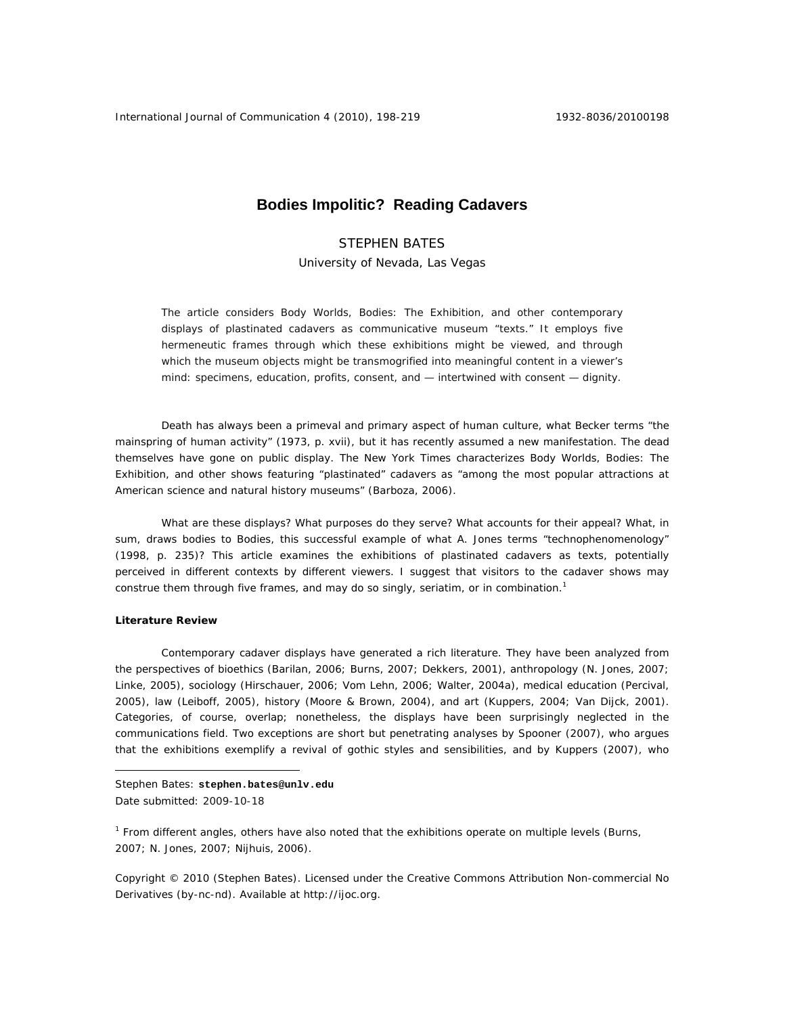International Journal of Communication 4 (2010), 198-219 1932-8036/20100198

# **Bodies Impolitic? Reading Cadavers**

## STEPHEN BATES

University of Nevada, Las Vegas

The article considers Body Worlds, Bodies: The Exhibition, and other contemporary displays of plastinated cadavers as communicative museum "texts." It employs five hermeneutic frames through which these exhibitions might be viewed, and through which the museum objects might be transmogrified into meaningful content in a viewer's mind: specimens, education, profits, consent, and — intertwined with consent — dignity.

Death has always been a primeval and primary aspect of human culture, what Becker terms "the mainspring of human activity" (1973, p. xvii), but it has recently assumed a new manifestation. The dead themselves have gone on public display. *The New York Times* characterizes *Body Worlds, Bodies: The Exhibition,* and other shows featuring "plastinated" cadavers as "among the most popular attractions at American science and natural history museums" (Barboza, 2006).

What are these displays? What purposes do they serve? What accounts for their appeal? What, in sum, draws bodies to *Bodies,* this successful example of what A. Jones terms "technophenomenology" (1998, p. 235)*?* This article examines the exhibitions of plastinated cadavers as texts, potentially perceived in different contexts by different viewers. I suggest that visitors to the cadaver shows may construe them through five frames, and may do so singly, seriatim, or in combination.<sup>1</sup>

## *Literature Review*

 $\overline{a}$ 

Contemporary cadaver displays have generated a rich literature. They have been analyzed from the perspectives of bioethics (Barilan, 2006; Burns, 2007; Dekkers, 2001), anthropology (N. Jones, 2007; Linke, 2005), sociology (Hirschauer, 2006; Vom Lehn, 2006; Walter, 2004a), medical education (Percival, 2005), law (Leiboff, 2005), history (Moore & Brown, 2004), and art (Kuppers, 2004; Van Dijck, 2001). Categories, of course, overlap; nonetheless, the displays have been surprisingly neglected in the communications field. Two exceptions are short but penetrating analyses by Spooner (2007), who argues that the exhibitions exemplify a revival of gothic styles and sensibilities, and by Kuppers (2007), who

Stephen Bates: **stephen.bates@unlv.edu** Date submitted: 2009-10-18

<sup>1</sup> From different angles, others have also noted that the exhibitions operate on multiple levels (Burns, 2007; N. Jones, 2007; Nijhuis, 2006).

Copyright © 2010 (Stephen Bates). Licensed under the Creative Commons Attribution Non-commercial No Derivatives (by-nc-nd). Available at http://ijoc.org.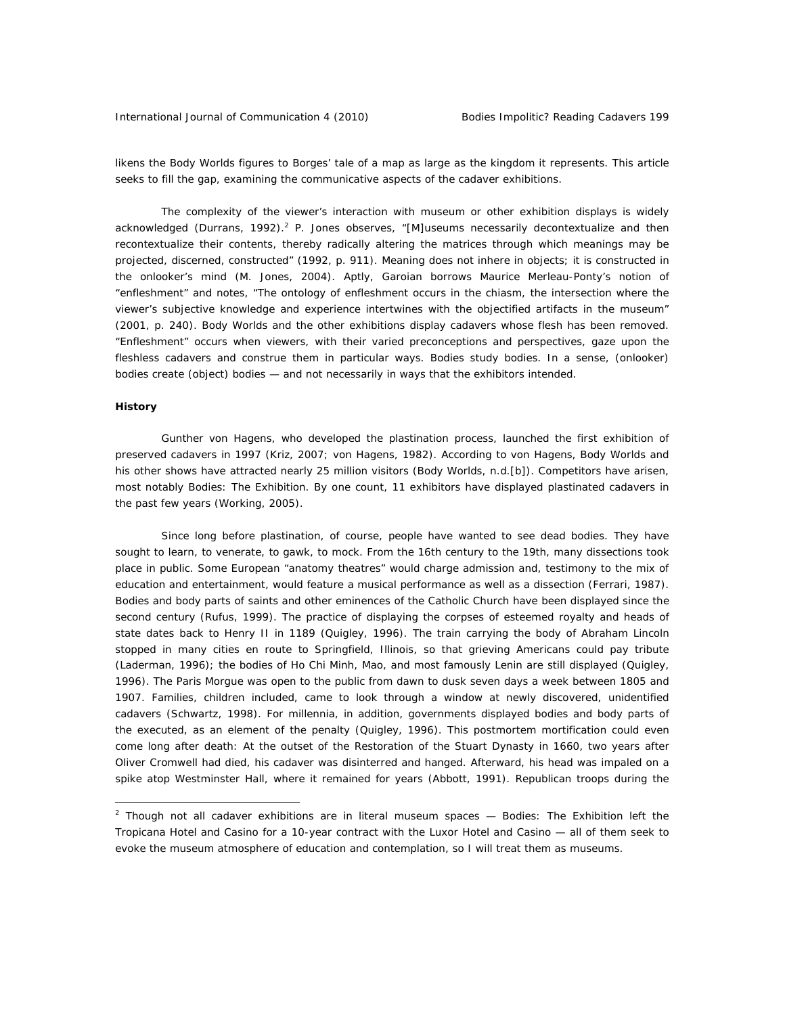likens the *Body Worlds* figures to Borges' tale of a map as large as the kingdom it represents. This article seeks to fill the gap, examining the communicative aspects of the cadaver exhibitions.

The complexity of the viewer's interaction with museum or other exhibition displays is widely acknowledged (Durrans, 1992).<sup>2</sup> P. Jones observes, "[M]useums necessarily decontextualize and then recontextualize their contents, thereby radically altering the matrices through which meanings may be projected, discerned, constructed" (1992, p. 911). Meaning does not inhere in objects; it is constructed in the onlooker's mind (M. Jones, 2004). Aptly, Garoian borrows Maurice Merleau-Ponty's notion of "enfleshment" and notes, "The ontology of enfleshment occurs in the chiasm, the intersection where the viewer's subjective knowledge and experience intertwines with the objectified artifacts in the museum" (2001, p. 240). *Body Worlds* and the other exhibitions display cadavers whose flesh has been removed. "Enfleshment" occurs when viewers, with their varied preconceptions and perspectives, gaze upon the fleshless cadavers and construe them in particular ways. Bodies study bodies. In a sense, (onlooker) bodies create (object) bodies — and not necessarily in ways that the exhibitors intended.

### *History*

 $\overline{a}$ 

Gunther von Hagens, who developed the plastination process, launched the first exhibition of preserved cadavers in 1997 (Kriz, 2007; von Hagens, 1982). According to von Hagens, *Body Worlds* and his other shows have attracted nearly 25 million visitors (*Body Worlds,* n.d.[b]). Competitors have arisen, most notably *Bodies: The Exhibition.* By one count, 11 exhibitors have displayed plastinated cadavers in the past few years (Working, 2005).

Since long before plastination, of course, people have wanted to see dead bodies. They have sought to learn, to venerate, to gawk, to mock. From the 16th century to the 19th, many dissections took place in public. Some European "anatomy theatres" would charge admission and, testimony to the mix of education and entertainment, would feature a musical performance as well as a dissection (Ferrari, 1987). Bodies and body parts of saints and other eminences of the Catholic Church have been displayed since the second century (Rufus, 1999). The practice of displaying the corpses of esteemed royalty and heads of state dates back to Henry II in 1189 (Quigley, 1996). The train carrying the body of Abraham Lincoln stopped in many cities en route to Springfield, Illinois, so that grieving Americans could pay tribute (Laderman, 1996); the bodies of Ho Chi Minh, Mao, and most famously Lenin are still displayed (Quigley, 1996). The Paris Morgue was open to the public from dawn to dusk seven days a week between 1805 and 1907. Families, children included, came to look through a window at newly discovered, unidentified cadavers (Schwartz, 1998). For millennia, in addition, governments displayed bodies and body parts of the executed, as an element of the penalty (Quigley, 1996). This postmortem mortification could even come long after death: At the outset of the Restoration of the Stuart Dynasty in 1660, two years after Oliver Cromwell had died, his cadaver was disinterred and hanged. Afterward, his head was impaled on a spike atop Westminster Hall, where it remained for years (Abbott, 1991). Republican troops during the

<sup>2</sup> Though not all cadaver exhibitions are in literal museum spaces — *Bodies: The Exhibition* left the Tropicana Hotel and Casino for a 10-year contract with the Luxor Hotel and Casino — all of them seek to evoke the museum atmosphere of education and contemplation, so I will treat them as museums.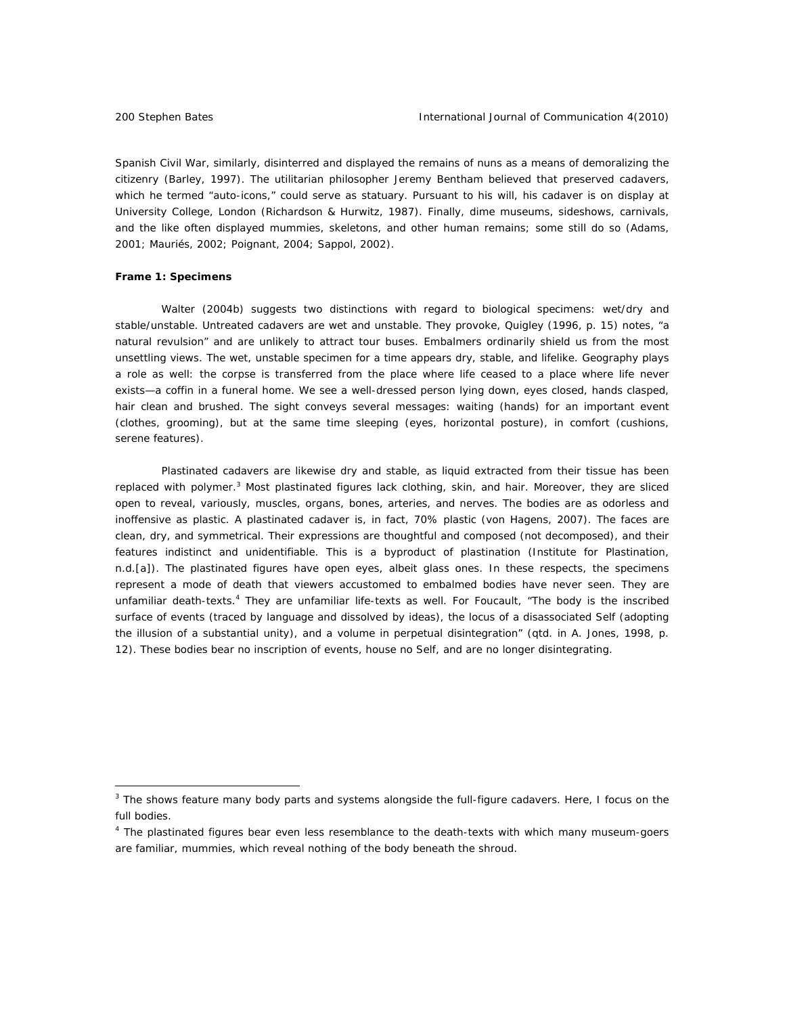Spanish Civil War, similarly, disinterred and displayed the remains of nuns as a means of demoralizing the citizenry (Barley, 1997). The utilitarian philosopher Jeremy Bentham believed that preserved cadavers, which he termed "auto-icons," could serve as statuary. Pursuant to his will, his cadaver is on display at University College, London (Richardson & Hurwitz, 1987). Finally, dime museums, sideshows, carnivals, and the like often displayed mummies, skeletons, and other human remains; some still do so (Adams, 2001; Mauriés, 2002; Poignant, 2004; Sappol, 2002).

#### *Frame 1: Specimens*

 $\overline{a}$ 

Walter (2004b) suggests two distinctions with regard to biological specimens: wet/dry and stable/unstable. Untreated cadavers are wet and unstable. They provoke, Quigley (1996, p. 15) notes, "a natural revulsion" and are unlikely to attract tour buses. Embalmers ordinarily shield us from the most unsettling views. The wet, unstable specimen for a time appears dry, stable, and lifelike. Geography plays a role as well: the corpse is transferred from the place where life ceased to a place where life never exists—a coffin in a funeral home. We see a well-dressed person lying down, eyes closed, hands clasped, hair clean and brushed. The sight conveys several messages: waiting (hands) for an important event (clothes, grooming), but at the same time sleeping (eyes, horizontal posture), in comfort (cushions, serene features).

Plastinated cadavers are likewise dry and stable, as liquid extracted from their tissue has been replaced with polymer.<sup>3</sup> Most plastinated figures lack clothing, skin, and hair. Moreover, they are sliced open to reveal, variously, muscles, organs, bones, arteries, and nerves. The bodies are as odorless and inoffensive as plastic. A plastinated cadaver is, in fact, 70% plastic (von Hagens, 2007). The faces are clean, dry, and symmetrical. Their expressions are thoughtful and composed (not decomposed), and their features indistinct and unidentifiable. This is a byproduct of plastination (Institute for Plastination, n.d.[a]). The plastinated figures have open eyes, albeit glass ones. In these respects, the specimens represent a mode of death that viewers accustomed to embalmed bodies have never seen. They are unfamiliar death-texts.<sup>4</sup> They are unfamiliar life-texts as well. For Foucault, "The body is the inscribed surface of events (traced by language and dissolved by ideas), the locus of a disassociated Self (adopting the illusion of a substantial unity), and a volume in perpetual disintegration" (qtd. in A. Jones, 1998, p. 12). These bodies bear no inscription of events, house no Self, and are no longer disintegrating.

<sup>&</sup>lt;sup>3</sup> The shows feature many body parts and systems alongside the full-figure cadavers. Here, I focus on the full bodies.

<sup>&</sup>lt;sup>4</sup> The plastinated figures bear even less resemblance to the death-texts with which many museum-goers are familiar, mummies, which reveal nothing of the body beneath the shroud.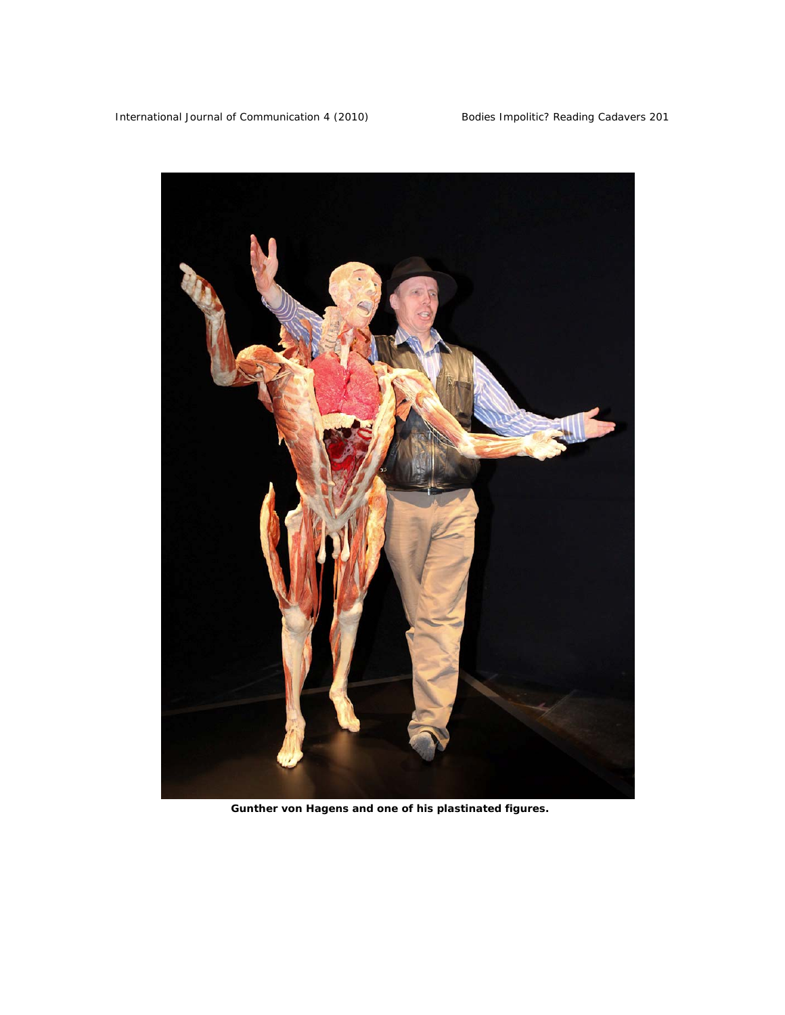International Journal of Communication 4 (2010) Bodies Impolitic? Reading Cadavers 201



 *Gunther von Hagens and one of his plastinated figures.*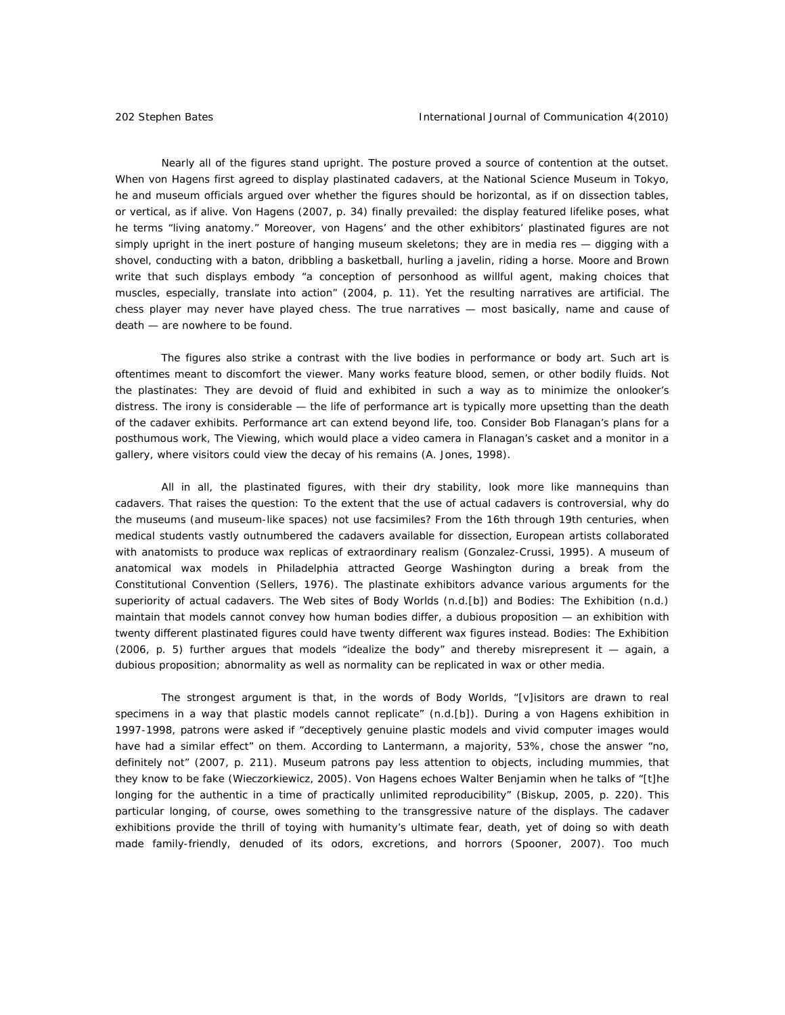Nearly all of the figures stand upright. The posture proved a source of contention at the outset. When von Hagens first agreed to display plastinated cadavers, at the National Science Museum in Tokyo, he and museum officials argued over whether the figures should be horizontal, as if on dissection tables, or vertical, as if alive. Von Hagens (2007, p. 34) finally prevailed: the display featured lifelike poses, what he terms "living anatomy." Moreover, von Hagens' and the other exhibitors' plastinated figures are not simply upright in the inert posture of hanging museum skeletons; they are *in media res* — digging with a shovel, conducting with a baton, dribbling a basketball, hurling a javelin, riding a horse. Moore and Brown write that such displays embody "a conception of personhood as willful agent, making choices that muscles, especially, translate into action" (2004, p. 11). Yet the resulting narratives are artificial. The chess player may never have played chess. The true narratives — most basically, name and cause of death — are nowhere to be found.

The figures also strike a contrast with the live bodies in performance or body art. Such art is oftentimes meant to discomfort the viewer. Many works feature blood, semen, or other bodily fluids. Not the plastinates: They are devoid of fluid and exhibited in such a way as to minimize the onlooker's distress. The irony is considerable — the life of performance art is typically more upsetting than the death of the cadaver exhibits. Performance art can extend beyond life, too. Consider Bob Flanagan's plans for a posthumous work, *The Viewing,* which would place a video camera in Flanagan's casket and a monitor in a gallery, where visitors could view the decay of his remains (A. Jones, 1998).

All in all, the plastinated figures, with their dry stability, look more like mannequins than cadavers. That raises the question: To the extent that the use of actual cadavers is controversial, why do the museums (and museum-like spaces) not use facsimiles? From the 16th through 19th centuries, when medical students vastly outnumbered the cadavers available for dissection, European artists collaborated with anatomists to produce wax replicas of extraordinary realism (Gonzalez-Crussi, 1995). A museum of anatomical wax models in Philadelphia attracted George Washington during a break from the Constitutional Convention (Sellers, 1976). The plastinate exhibitors advance various arguments for the superiority of actual cadavers. The Web sites of *Body Worlds* (n.d.[b]) and *Bodies: The Exhibition* (n.d.) maintain that models cannot convey how human bodies differ, a dubious proposition — an exhibition with twenty different plastinated figures could have twenty different wax figures instead. *Bodies: The Exhibition* (2006, p. 5) further argues that models "idealize the body" and thereby misrepresent it — again, a dubious proposition; abnormality as well as normality can be replicated in wax or other media.

The strongest argument is that, in the words of *Body Worlds,* "[v]isitors are drawn to real specimens in a way that plastic models cannot replicate" (n.d.[b]). During a von Hagens exhibition in 1997-1998, patrons were asked if "deceptively genuine plastic models and vivid computer images would have had a similar effect" on them. According to Lantermann, a majority, 53%, chose the answer "no, definitely not" (2007, p. 211). Museum patrons pay less attention to objects, including mummies, that they know to be fake (Wieczorkiewicz, 2005). Von Hagens echoes Walter Benjamin when he talks of "[t]he longing for the authentic in a time of practically unlimited reproducibility" (Biskup, 2005, p. 220). This particular longing, of course, owes something to the transgressive nature of the displays. The cadaver exhibitions provide the thrill of toying with humanity's ultimate fear, death, yet of doing so with death made family-friendly, denuded of its odors, excretions, and horrors (Spooner, 2007). Too much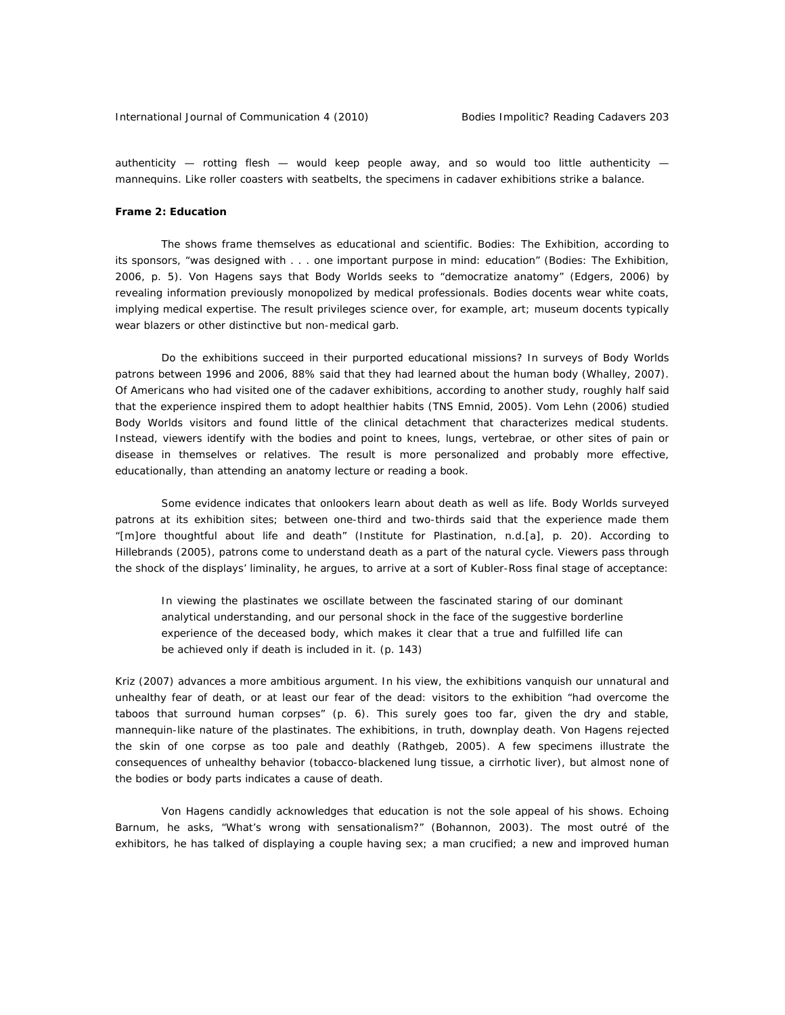authenticity  $-$  rotting flesh  $-$  would keep people away, and so would too little authenticity  $$ mannequins. Like roller coasters with seatbelts, the specimens in cadaver exhibitions strike a balance.

#### *Frame 2: Education*

The shows frame themselves as educational and scientific. *Bodies: The Exhibition,* according to its sponsors, "was designed with . . . one important purpose in mind: education" (*Bodies: The Exhibition,*  2006, p. 5). Von Hagens says that *Body Worlds* seeks to "democratize anatomy" (Edgers, 2006) by revealing information previously monopolized by medical professionals. *Bodies* docents wear white coats, implying medical expertise. The result privileges science over, for example, art; museum docents typically wear blazers or other distinctive but non-medical garb.

Do the exhibitions succeed in their purported educational missions? In surveys of *Body Worlds*  patrons between 1996 and 2006, 88% said that they had learned about the human body (Whalley, 2007). Of Americans who had visited one of the cadaver exhibitions, according to another study, roughly half said that the experience inspired them to adopt healthier habits (TNS Emnid, 2005). Vom Lehn (2006) studied *Body Worlds* visitors and found little of the clinical detachment that characterizes medical students. Instead, viewers identify with the bodies and point to knees, lungs, vertebrae, or other sites of pain or disease in themselves or relatives. The result is more personalized and probably more effective, educationally, than attending an anatomy lecture or reading a book.

Some evidence indicates that onlookers learn about death as well as life. *Body Worlds* surveyed patrons at its exhibition sites; between one-third and two-thirds said that the experience made them "[m]ore thoughtful about life and death" (Institute for Plastination, n.d.[a], p. 20). According to Hillebrands (2005), patrons come to understand death as a part of the natural cycle. Viewers pass through the shock of the displays' liminality, he argues, to arrive at a sort of Kubler-Ross final stage of acceptance:

In viewing the plastinates we oscillate between the fascinated staring of our dominant analytical understanding, and our personal shock in the face of the suggestive borderline experience of the deceased body, which makes it clear that a true and fulfilled life can be achieved only if death is included in it. (p. 143)

Kriz (2007) advances a more ambitious argument. In his view, the exhibitions vanquish our unnatural and unhealthy fear of death, or at least our fear of the dead: visitors to the exhibition "had overcome the taboos that surround human corpses" (p. 6). This surely goes too far, given the dry and stable, mannequin-like nature of the plastinates. The exhibitions, in truth, downplay death. Von Hagens rejected the skin of one corpse as too pale and deathly (Rathgeb, 2005). A few specimens illustrate the consequences of unhealthy behavior (tobacco-blackened lung tissue, a cirrhotic liver), but almost none of the bodies or body parts indicates a cause of death.

Von Hagens candidly acknowledges that education is not the sole appeal of his shows. Echoing Barnum, he asks, "What's wrong with sensationalism?" (Bohannon, 2003). The most *outré* of the exhibitors, he has talked of displaying a couple having sex; a man crucified; a new and improved human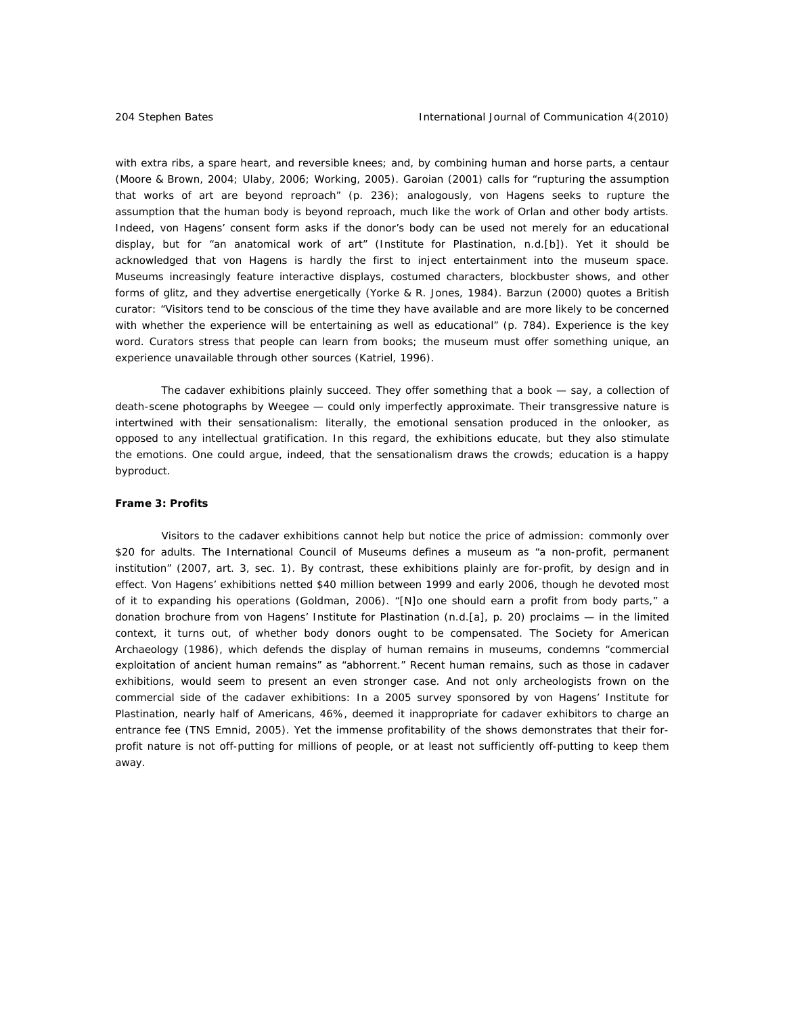with extra ribs, a spare heart, and reversible knees; and, by combining human and horse parts, a centaur (Moore & Brown, 2004; Ulaby, 2006; Working, 2005). Garoian (2001) calls for "rupturing the assumption that works of art are beyond reproach" (p. 236); analogously, von Hagens seeks to rupture the assumption that the human body is beyond reproach, much like the work of Orlan and other body artists. Indeed, von Hagens' consent form asks if the donor's body can be used not merely for an educational display, but for "an anatomical work of art" (Institute for Plastination, n.d.[b]). Yet it should be acknowledged that von Hagens is hardly the first to inject entertainment into the museum space. Museums increasingly feature interactive displays, costumed characters, blockbuster shows, and other forms of glitz, and they advertise energetically (Yorke & R. Jones, 1984). Barzun (2000) quotes a British curator: "Visitors tend to be conscious of the time they have available and are more likely to be concerned with whether the experience will be entertaining as well as educational" (p. 784). *Experience* is the key word. Curators stress that people can learn from books; the museum must offer something unique, an experience unavailable through other sources (Katriel, 1996).

The cadaver exhibitions plainly succeed. They offer something that a book — say, a collection of death-scene photographs by Weegee — could only imperfectly approximate. Their transgressive nature is intertwined with their sensationalism: literally, the emotional sensation produced in the onlooker, as opposed to any intellectual gratification. In this regard, the exhibitions educate, but they also stimulate the emotions. One could argue, indeed, that the sensationalism draws the crowds; education is a happy byproduct.

#### *Frame 3: Profits*

Visitors to the cadaver exhibitions cannot help but notice the price of admission: commonly over \$20 for adults. The International Council of Museums defines a museum as "a non-profit, permanent institution" (2007, art. 3, sec. 1). By contrast, these exhibitions plainly are for-profit, by design and in effect. Von Hagens' exhibitions netted \$40 million between 1999 and early 2006, though he devoted most of it to expanding his operations (Goldman, 2006). "[N]o one should earn a profit from body parts," a donation brochure from von Hagens' Institute for Plastination (n.d.[a], p. 20) proclaims — in the limited context, it turns out, of whether body donors ought to be compensated. The Society for American Archaeology (1986), which defends the display of human remains in museums, condemns "commercial exploitation of ancient human remains" as "abhorrent." Recent human remains, such as those in cadaver exhibitions, would seem to present an even stronger case. And not only archeologists frown on the commercial side of the cadaver exhibitions: In a 2005 survey sponsored by von Hagens' Institute for Plastination, nearly half of Americans, 46%, deemed it inappropriate for cadaver exhibitors to charge an entrance fee (TNS Emnid, 2005). Yet the immense profitability of the shows demonstrates that their forprofit nature is not off-putting for millions of people, or at least not sufficiently off-putting to keep them away.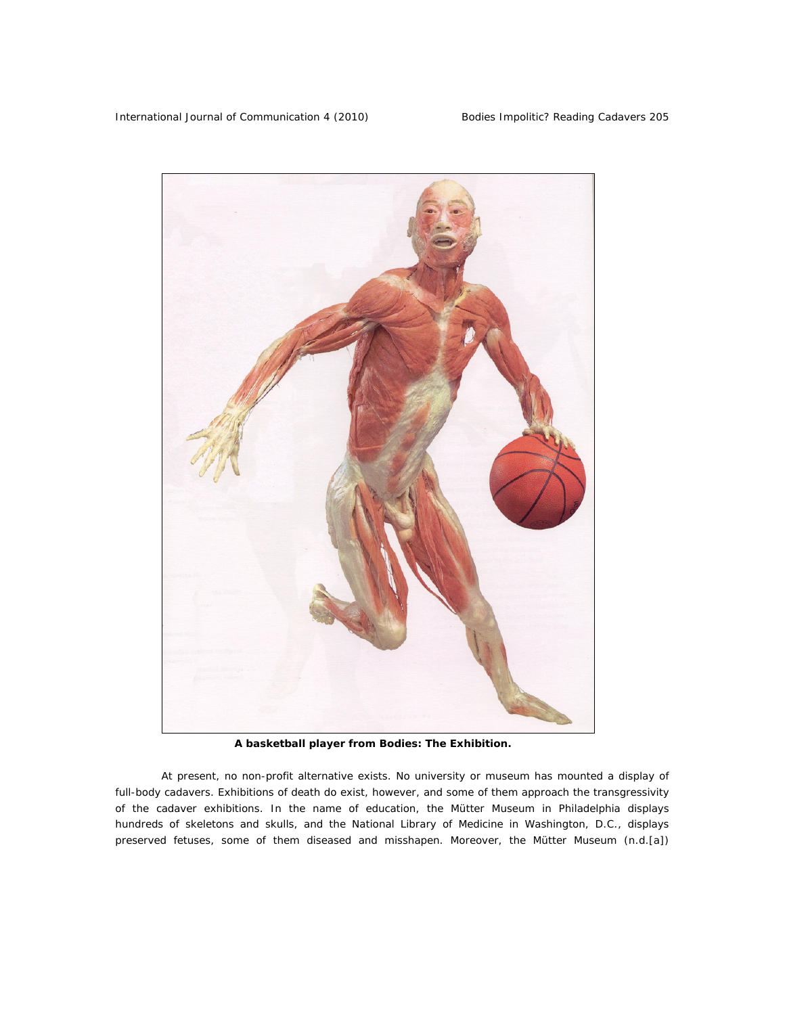

 *A basketball player from* **Bodies: The Exhibition.** 

At present, no non-profit alternative exists. No university or museum has mounted a display of full-body cadavers. Exhibitions of death do exist, however, and some of them approach the transgressivity of the cadaver exhibitions. In the name of education, the Mütter Museum in Philadelphia displays hundreds of skeletons and skulls, and the National Library of Medicine in Washington, D.C., displays preserved fetuses, some of them diseased and misshapen. Moreover, the Mütter Museum (n.d.[a])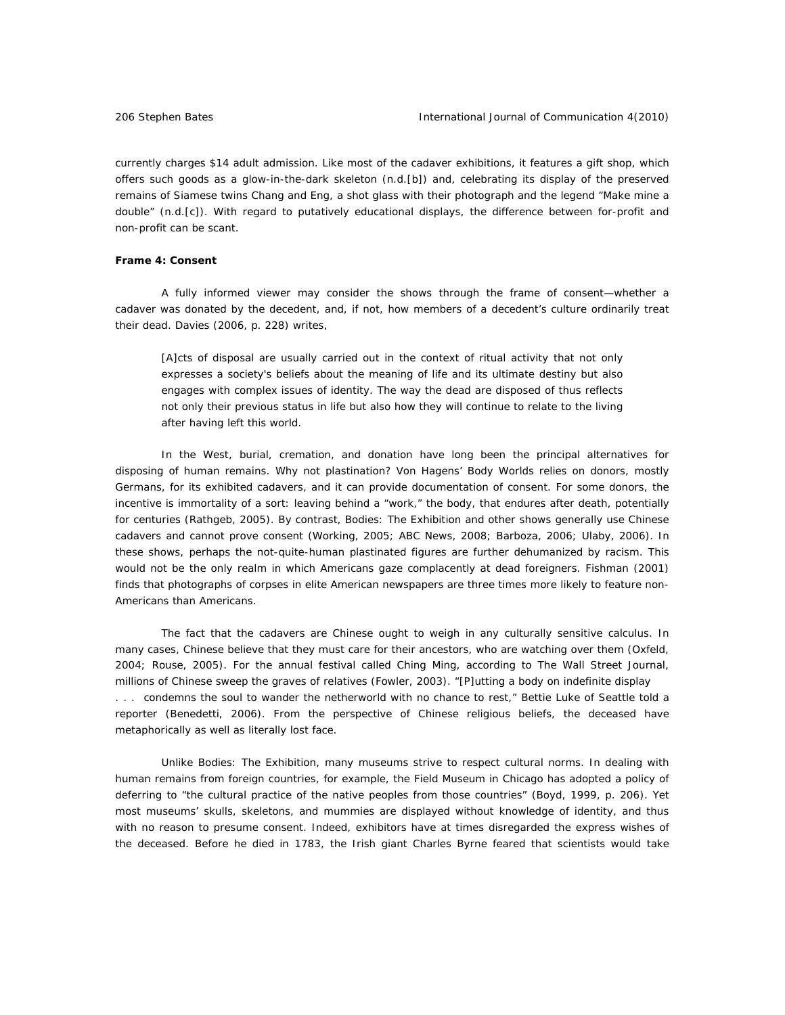currently charges \$14 adult admission. Like most of the cadaver exhibitions, it features a gift shop, which offers such goods as a glow-in-the-dark skeleton (n.d.[b]) and, celebrating its display of the preserved remains of Siamese twins Chang and Eng, a shot glass with their photograph and the legend "Make mine a double" (n.d.[c]). With regard to putatively educational displays, the difference between for-profit and non-profit can be scant.

## *Frame 4: Consent*

A fully informed viewer may consider the shows through the frame of consent—whether a cadaver was donated by the decedent, and, if not, how members of a decedent's culture ordinarily treat their dead. Davies (2006, p. 228) writes,

[A]cts of disposal are usually carried out in the context of ritual activity that not only expresses a society's beliefs about the meaning of life and its ultimate destiny but also engages with complex issues of identity. The way the dead are disposed of thus reflects not only their previous status in life but also how they will continue to relate to the living after having left this world.

In the West, burial, cremation, and donation have long been the principal alternatives for disposing of human remains. Why not plastination? Von Hagens' *Body Worlds* relies on donors, mostly Germans, for its exhibited cadavers, and it can provide documentation of consent. For some donors, the incentive is immortality of a sort: leaving behind a "work," the body, that endures after death, potentially for centuries (Rathgeb, 2005). By contrast, *Bodies: The Exhibition* and other shows generally use Chinese cadavers and cannot prove consent (Working, 2005; ABC News, 2008; Barboza, 2006; Ulaby, 2006). In these shows, perhaps the not-quite-human plastinated figures are further dehumanized by racism. This would not be the only realm in which Americans gaze complacently at dead foreigners. Fishman (2001) finds that photographs of corpses in elite American newspapers are three times more likely to feature non-Americans than Americans.

The fact that the cadavers are Chinese ought to weigh in any culturally sensitive calculus. In many cases, Chinese believe that they must care for their ancestors, who are watching over them (Oxfeld, 2004; Rouse, 2005). For the annual festival called Ching Ming, according to *The Wall Street Journal*, millions of Chinese sweep the graves of relatives (Fowler, 2003). "[P]utting a body on indefinite display . . . condemns the soul to wander the netherworld with no chance to rest," Bettie Luke of Seattle told a reporter (Benedetti, 2006). From the perspective of Chinese religious beliefs, the deceased have metaphorically as well as literally lost face.

Unlike *Bodies: The Exhibition*, many museums strive to respect cultural norms. In dealing with human remains from foreign countries, for example, the Field Museum in Chicago has adopted a policy of deferring to "the cultural practice of the native peoples from those countries" (Boyd, 1999, p. 206). Yet most museums' skulls, skeletons, and mummies are displayed without knowledge of identity, and thus with no reason to presume consent. Indeed, exhibitors have at times disregarded the express wishes of the deceased. Before he died in 1783, the Irish giant Charles Byrne feared that scientists would take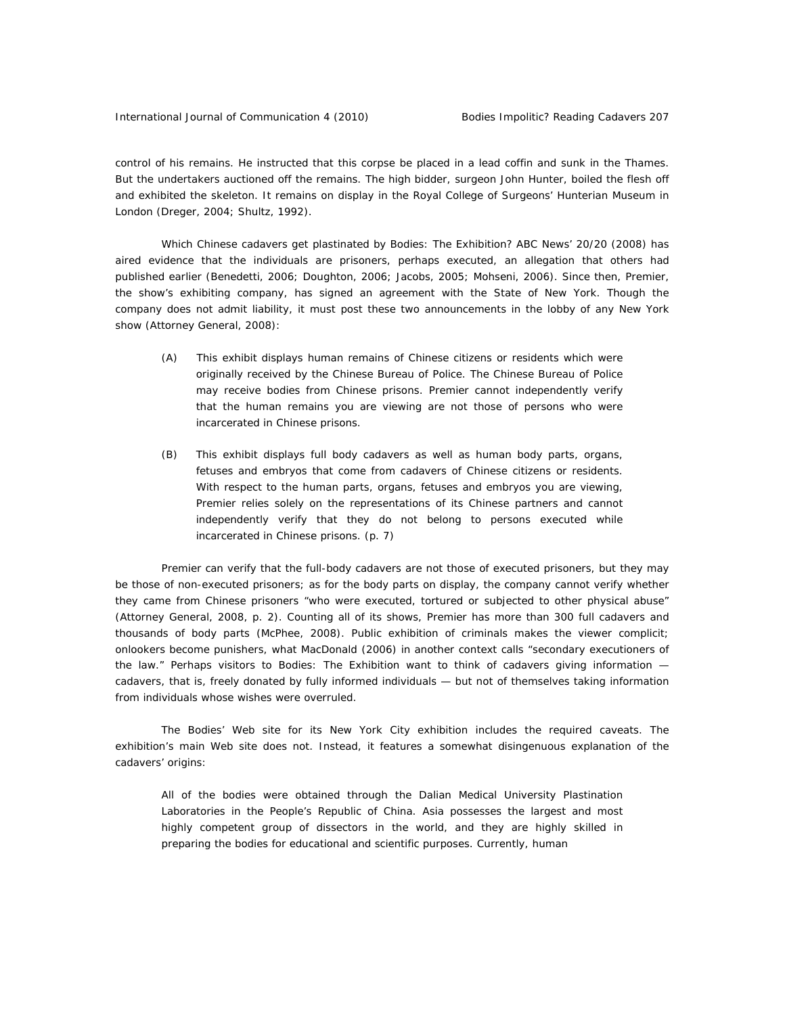control of his remains. He instructed that this corpse be placed in a lead coffin and sunk in the Thames. But the undertakers auctioned off the remains. The high bidder, surgeon John Hunter, boiled the flesh off and exhibited the skeleton. It remains on display in the Royal College of Surgeons' Hunterian Museum in London (Dreger, 2004; Shultz, 1992).

Which Chinese cadavers get plastinated by *Bodies: The Exhibition*? ABC News' *20/20* (2008) has aired evidence that the individuals are prisoners, perhaps executed, an allegation that others had published earlier (Benedetti, 2006; Doughton, 2006; Jacobs, 2005; Mohseni, 2006). Since then, Premier, the show's exhibiting company, has signed an agreement with the State of New York. Though the company does not admit liability, it must post these two announcements in the lobby of any New York show (Attorney General, 2008):

- (A) This exhibit displays human remains of Chinese citizens or residents which were originally received by the Chinese Bureau of Police. The Chinese Bureau of Police may receive bodies from Chinese prisons. Premier cannot independently verify that the human remains you are viewing are not those of persons who were incarcerated in Chinese prisons.
- (B) This exhibit displays full body cadavers as well as human body parts, organs, fetuses and embryos that come from cadavers of Chinese citizens or residents. With respect to the human parts, organs, fetuses and embryos you are viewing, Premier relies solely on the representations of its Chinese partners and cannot independently verify that they do not belong to persons executed while incarcerated in Chinese prisons. (p. 7)

Premier can verify that the full-body cadavers are not those of executed prisoners, but they may be those of non-executed prisoners; as for the body parts on display, the company cannot verify whether they came from Chinese prisoners "who were executed, tortured or subjected to other physical abuse" (Attorney General, 2008, p. 2). Counting all of its shows, Premier has more than 300 full cadavers and thousands of body parts (McPhee, 2008). Public exhibition of criminals makes the viewer complicit; onlookers become punishers, what MacDonald (2006) in another context calls "secondary executioners of the law." Perhaps visitors to *Bodies: The Exhibition* want to think of cadavers giving information cadavers, that is, freely donated by fully informed individuals — but not of themselves taking information from individuals whose wishes were overruled.

The *Bodies'* Web site for its New York City exhibition includes the required caveats. The exhibition's main Web site does not. Instead, it features a somewhat disingenuous explanation of the cadavers' origins:

All of the bodies were obtained through the Dalian Medical University Plastination Laboratories in the People's Republic of China. Asia possesses the largest and most highly competent group of dissectors in the world, and they are highly skilled in preparing the bodies for educational and scientific purposes. Currently, human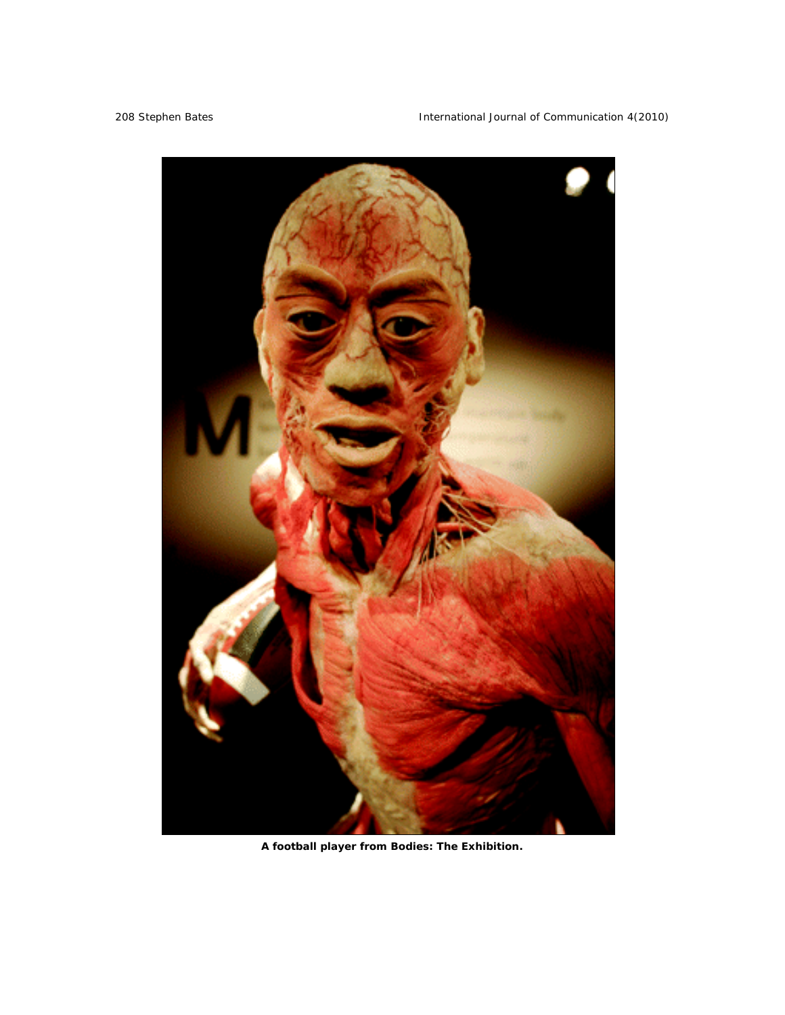# 208 Stephen Bates **International Journal of Communication 4(2010)**



*A football player from* **Bodies: The Exhibition***.*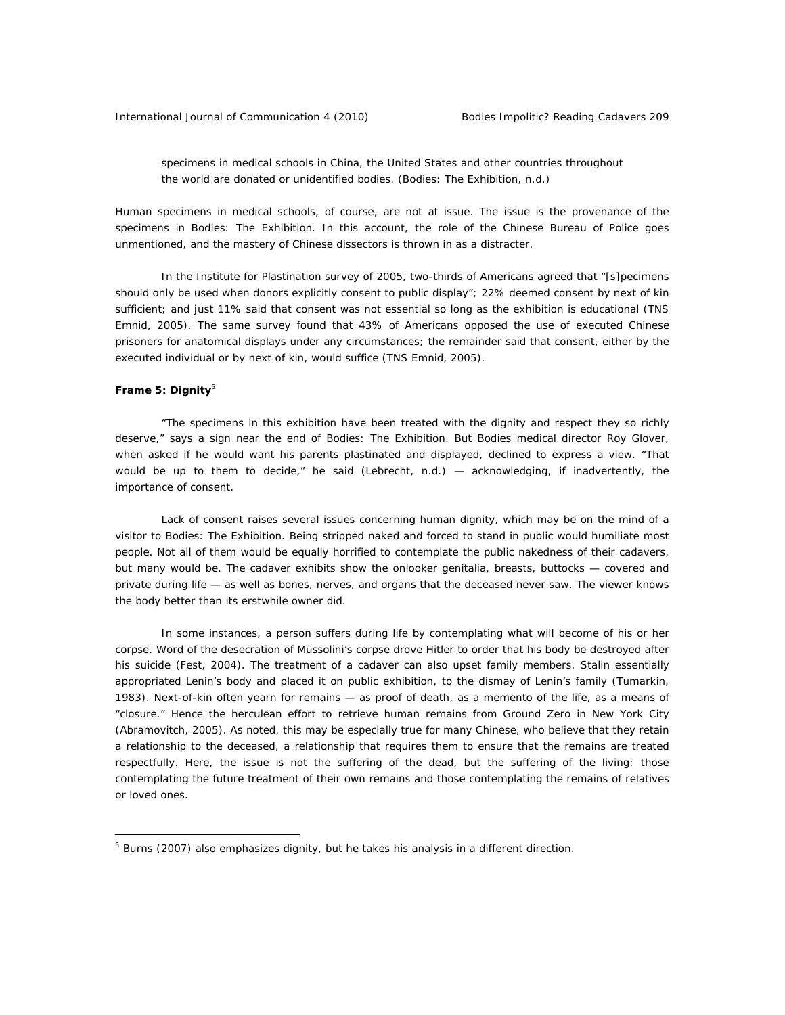specimens in medical schools in China, the United States and other countries throughout the world are donated or unidentified bodies. (*Bodies: The Exhibition,* n.d.)

Human specimens in medical schools, of course, are not at issue. The issue is the provenance of the specimens in *Bodies: The Exhibition*. In this account, the role of the Chinese Bureau of Police goes unmentioned, and the mastery of Chinese dissectors is thrown in as a distracter.

In the Institute for Plastination survey of 2005, two-thirds of Americans agreed that "[s]pecimens should only be used when donors explicitly consent to public display"; 22% deemed consent by next of kin sufficient; and just 11% said that consent was not essential so long as the exhibition is educational (TNS Emnid, 2005). The same survey found that 43% of Americans opposed the use of executed Chinese prisoners for anatomical displays under any circumstances; the remainder said that consent, either by the executed individual or by next of kin, would suffice (TNS Emnid, 2005).

## **Frame 5: Dignity**<sup>5</sup>

 $\overline{a}$ 

"The specimens in this exhibition have been treated with the dignity and respect they so richly deserve," says a sign near the end of *Bodies: The Exhibition.* But *Bodies* medical director Roy Glover, when asked if he would want his parents plastinated and displayed, declined to express a view. "That would be up to them to decide," he said (Lebrecht, n.d.) — acknowledging, if inadvertently, the importance of consent.

Lack of consent raises several issues concerning human dignity, which may be on the mind of a visitor to *Bodies: The Exhibition*. Being stripped naked and forced to stand in public would humiliate most people. Not all of them would be equally horrified to contemplate the public nakedness of their cadavers, but many would be. The cadaver exhibits show the onlooker genitalia, breasts, buttocks — covered and private during life — as well as bones, nerves, and organs that the deceased never saw. The viewer knows the body better than its erstwhile owner did.

In some instances, a person suffers during life by contemplating what will become of his or her corpse. Word of the desecration of Mussolini's corpse drove Hitler to order that his body be destroyed after his suicide (Fest, 2004). The treatment of a cadaver can also upset family members. Stalin essentially appropriated Lenin's body and placed it on public exhibition, to the dismay of Lenin's family (Tumarkin, 1983). Next-of-kin often yearn for remains — as proof of death, as a memento of the life, as a means of "closure." Hence the herculean effort to retrieve human remains from Ground Zero in New York City (Abramovitch, 2005). As noted, this may be especially true for many Chinese, who believe that they retain a relationship to the deceased, a relationship that requires them to ensure that the remains are treated respectfully. Here, the issue is not the suffering of the dead, but the suffering of the living: those contemplating the future treatment of their own remains and those contemplating the remains of relatives or loved ones.

<sup>&</sup>lt;sup>5</sup> Burns (2007) also emphasizes dignity, but he takes his analysis in a different direction.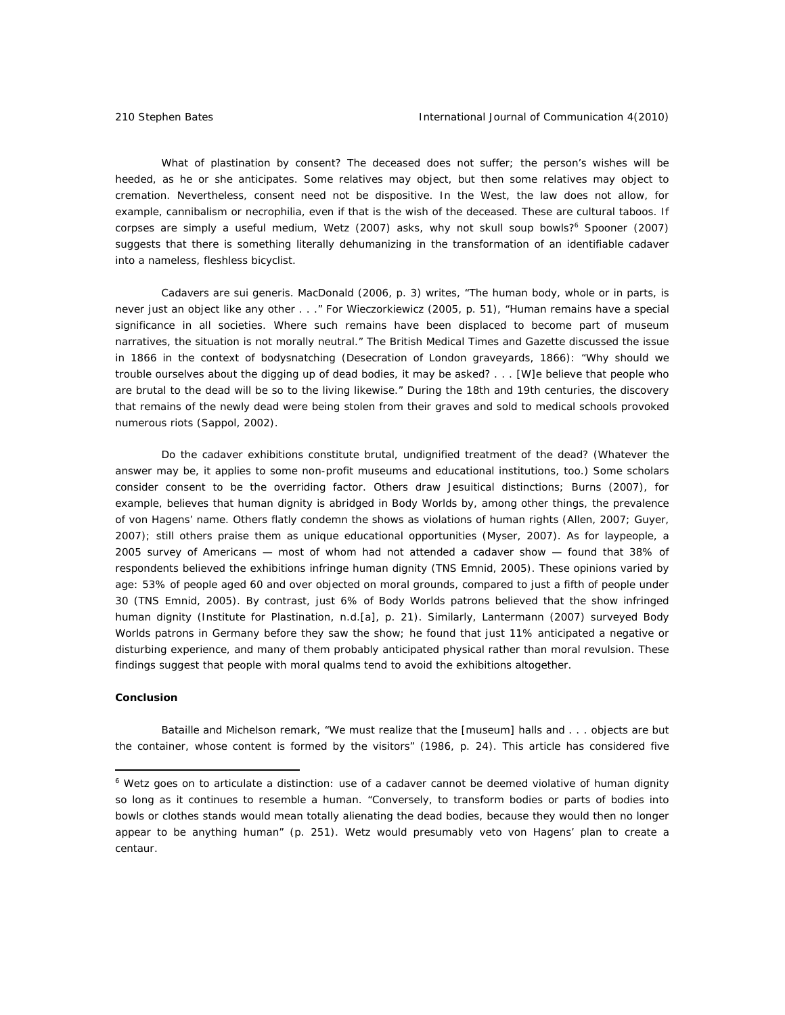What of plastination by consent? The deceased does not suffer; the person's wishes will be heeded, as he or she anticipates. Some relatives may object, but then some relatives may object to cremation. Nevertheless, consent need not be dispositive. In the West, the law does not allow, for example, cannibalism or necrophilia, even if that is the wish of the deceased. These are cultural taboos. If corpses are simply a useful medium, Wetz (2007) asks, why not skull soup bowls?<sup>6</sup> Spooner (2007) suggests that there is something literally dehumanizing in the transformation of an identifiable cadaver into a nameless, fleshless bicyclist.

Cadavers are *sui generis.* MacDonald (2006, p. 3) writes, "The human body, whole or in parts, is never just an object like any other . . ." For Wieczorkiewicz (2005, p. 51), "Human remains have a special significance in all societies. Where such remains have been displaced to become part of museum narratives, the situation is not morally neutral." The British *Medical Times and Gazette* discussed the issue in 1866 in the context of bodysnatching (Desecration of London graveyards, 1866): "Why should we trouble ourselves about the digging up of dead bodies, it may be asked? . . . [W]e believe that people who are brutal to the dead will be so to the living likewise." During the 18th and 19th centuries, the discovery that remains of the newly dead were being stolen from their graves and sold to medical schools provoked numerous riots (Sappol, 2002).

Do the cadaver exhibitions constitute brutal, undignified treatment of the dead? (Whatever the answer may be, it applies to some non-profit museums and educational institutions, too.) Some scholars consider consent to be the overriding factor. Others draw Jesuitical distinctions; Burns (2007), for example, believes that human dignity is abridged in *Body Worlds* by, among other things, the prevalence of von Hagens' name. Others flatly condemn the shows as violations of human rights (Allen, 2007; Guyer, 2007); still others praise them as unique educational opportunities (Myser, 2007). As for laypeople, a 2005 survey of Americans — most of whom had not attended a cadaver show — found that 38% of respondents believed the exhibitions infringe human dignity (TNS Emnid, 2005). These opinions varied by age: 53% of people aged 60 and over objected on moral grounds, compared to just a fifth of people under 30 (TNS Emnid, 2005). By contrast, just 6% of *Body Worlds* patrons believed that the show infringed human dignity (Institute for Plastination, n.d.[a], p. 21). Similarly, Lantermann (2007) surveyed *Body Worlds* patrons in Germany before they saw the show; he found that just 11% anticipated a negative or disturbing experience, and many of them probably anticipated physical rather than moral revulsion. These findings suggest that people with moral qualms tend to avoid the exhibitions altogether.

#### *Conclusion*

 $\overline{a}$ 

Bataille and Michelson remark, "We must realize that the [museum] halls and . . . objects are but the container, whose content is formed by the visitors" (1986, p. 24). This article has considered five

<sup>&</sup>lt;sup>6</sup> Wetz goes on to articulate a distinction: use of a cadaver cannot be deemed violative of human dignity so long as it continues to resemble a human. "Conversely, to transform bodies or parts of bodies into bowls or clothes stands would mean totally alienating the dead bodies, because they would then no longer appear to be anything human" (p. 251). Wetz would presumably veto von Hagens' plan to create a centaur.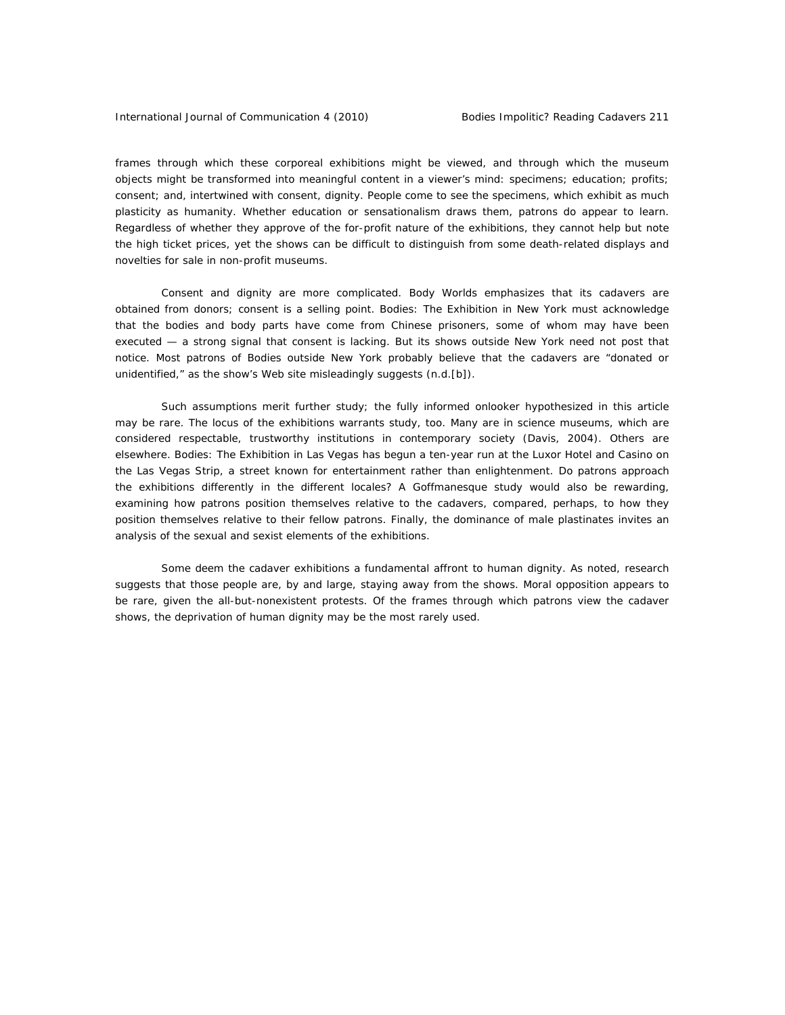frames through which these corporeal exhibitions might be viewed, and through which the museum objects might be transformed into meaningful content in a viewer's mind: specimens; education; profits; consent; and, intertwined with consent, dignity. People come to see the specimens, which exhibit as much plasticity as humanity. Whether education or sensationalism draws them, patrons do appear to learn. Regardless of whether they approve of the for-profit nature of the exhibitions, they cannot help but note the high ticket prices, yet the shows can be difficult to distinguish from some death-related displays and novelties for sale in non-profit museums.

Consent and dignity are more complicated. *Body Worlds* emphasizes that its cadavers are obtained from donors; consent is a selling point. *Bodies: The Exhibition* in New York must acknowledge that the bodies and body parts have come from Chinese prisoners, some of whom may have been executed — a strong signal that consent is lacking. But its shows outside New York need not post that notice. Most patrons of *Bodies* outside New York probably believe that the cadavers are "donated or unidentified," as the show's Web site misleadingly suggests (n.d.[b]).

Such assumptions merit further study; the fully informed onlooker hypothesized in this article may be rare. The locus of the exhibitions warrants study, too. Many are in science museums, which are considered respectable, trustworthy institutions in contemporary society (Davis, 2004). Others are elsewhere. *Bodies: The Exhibition* in Las Vegas has begun a ten-year run at the Luxor Hotel and Casino on the Las Vegas Strip, a street known for entertainment rather than enlightenment. Do patrons approach the exhibitions differently in the different locales? A Goffmanesque study would also be rewarding, examining how patrons position themselves relative to the cadavers, compared, perhaps, to how they position themselves relative to their fellow patrons. Finally, the dominance of male plastinates invites an analysis of the sexual and sexist elements of the exhibitions.

Some deem the cadaver exhibitions a fundamental affront to human dignity. As noted, research suggests that those people are, by and large, staying away from the shows. Moral opposition appears to be rare, given the all-but-nonexistent protests. Of the frames through which patrons view the cadaver shows, the deprivation of human dignity may be the most rarely used.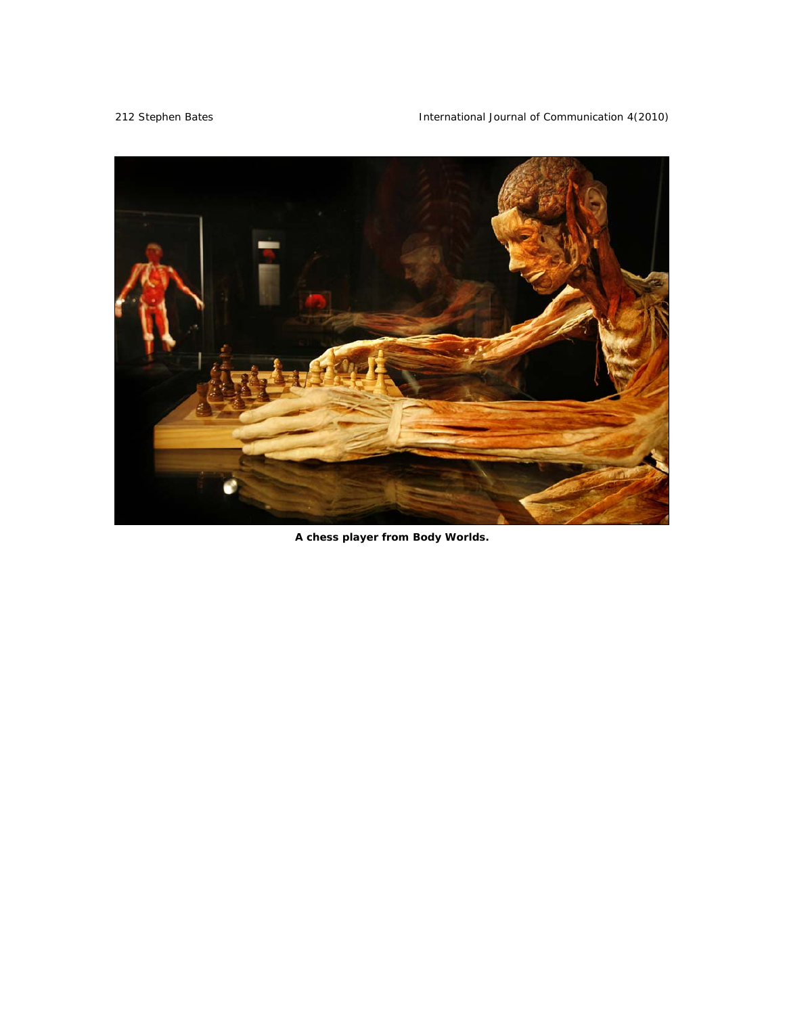# 212 Stephen Bates **International Journal of Communication 4(2010)**



*A chess player from* **Body Worlds***.*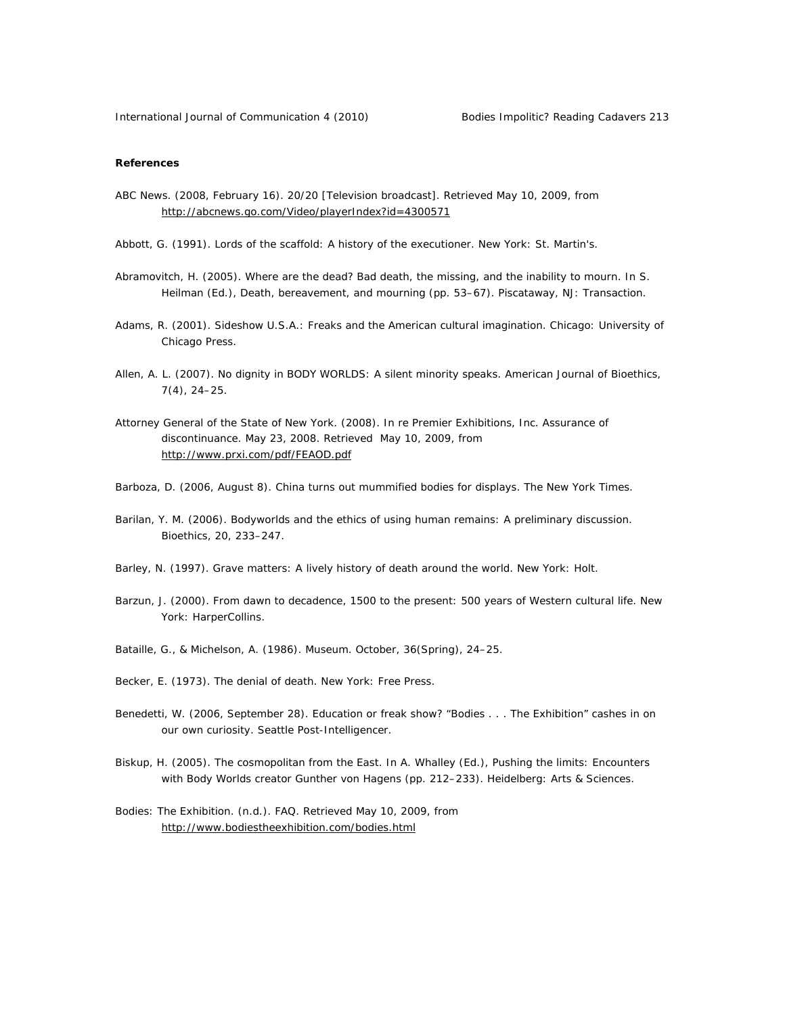### *References*

ABC News. (2008, February 16). *20/20* [Television broadcast]*.* Retrieved May 10, 2009, from http://abcnews.go.com/Video/playerIndex?id=4300571

Abbott, G. (1991). *Lords of the scaffold: A history of the executioner*. New York: St. Martin's.

- Abramovitch, H. (2005). Where are the dead? Bad death, the missing, and the inability to mourn. In S. Heilman (Ed.), *Death, bereavement, and mourning* (pp. 53–67)*.* Piscataway, NJ: Transaction.
- Adams, R. (2001). *Sideshow U.S.A.: Freaks and the American cultural imagination*. Chicago: University of Chicago Press.
- Allen, A. L. (2007). No dignity in BODY WORLDS: A silent minority speaks. *American Journal of Bioethics, 7*(4), 24–25.
- Attorney General of the State of New York. (2008). *In re Premier Exhibitions, Inc.* Assurance of discontinuance. May 23, 2008. Retrieved May 10, 2009, from http://www.prxi.com/pdf/FEAOD.pdf
- Barboza, D. (2006, August 8). China turns out mummified bodies for displays. *The New York Times.*
- Barilan, Y. M. (2006). Bodyworlds and the ethics of using human remains: A preliminary discussion. *Bioethics, 20*, 233–247.
- Barley, N. (1997). *Grave matters: A lively history of death around the world.* New York: Holt.
- Barzun, J. (2000). *From dawn to decadence, 1500 to the present: 500 years of Western cultural life.* New York: HarperCollins.
- Bataille, G., & Michelson, A. (1986). Museum. *October, 36*(Spring), 24–25.
- Becker, E. (1973). *The denial of death.* New York: Free Press.
- Benedetti, W. (2006, September 28). Education or freak show? "Bodies . . . The Exhibition" cashes in on our own curiosity. *Seattle Post-Intelligencer.*
- Biskup, H. (2005). The cosmopolitan from the East. In A. Whalley (Ed.), *Pushing the limits: Encounters*  with Body Worlds creator Gunther von Hagens (pp. 212-233). Heidelberg: Arts & Sciences.
- *Bodies: The Exhibition.* (n.d.)*.* FAQ. Retrieved May 10, 2009, from http://www.bodiestheexhibition.com/bodies.html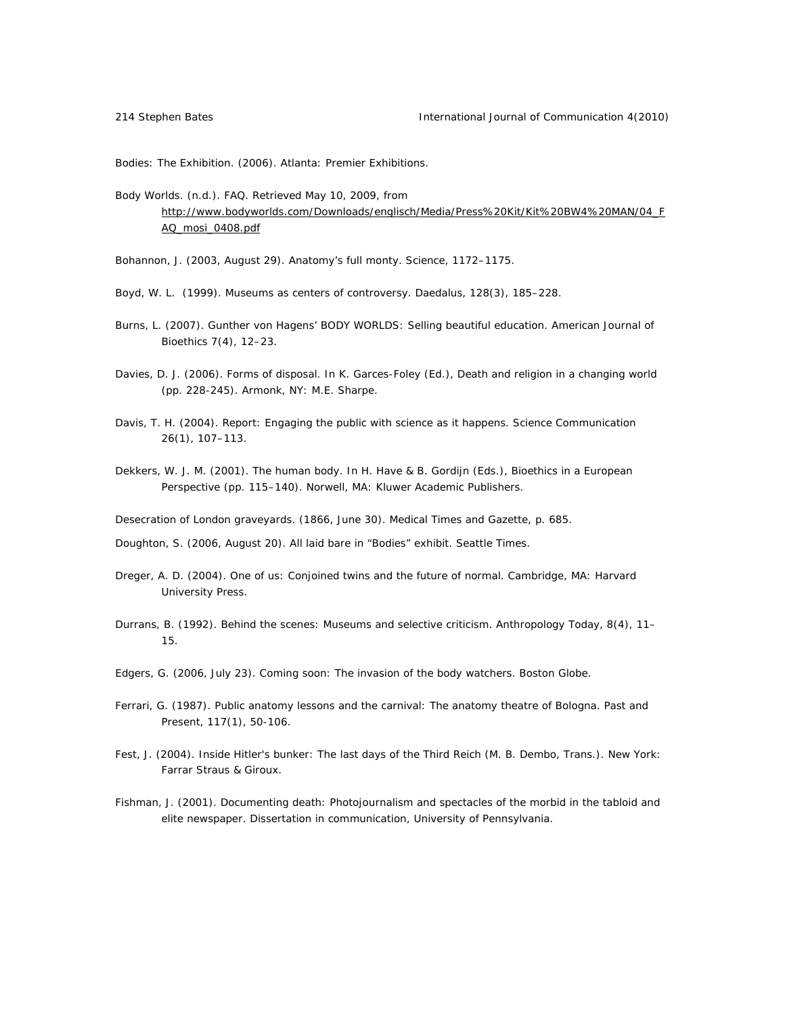*Bodies: The Exhibition.* (2006). Atlanta: Premier Exhibitions.

*Body Worlds.* (n.d.)*.* FAQ. Retrieved May 10, 2009, from http://www.bodyworlds.com/Downloads/englisch/Media/Press%20Kit/Kit%20BW4%20MAN/04\_F AQ\_mosi\_0408.pdf

Bohannon, J. (2003, August 29). Anatomy's full monty. *Science,* 1172–1175.

- Boyd, W. L. (1999). Museums as centers of controversy. *Daedalus, 128*(3), 185–228.
- Burns, L. (2007). Gunther von Hagens' BODY WORLDS: Selling beautiful education. *American Journal of Bioethics 7*(4), 12–23.
- Davies, D. J. (2006). Forms of disposal. In K. Garces-Foley (Ed.), *Death and religion in a changing world*  (pp. 228-245)*.* Armonk, NY: M.E. Sharpe.
- Davis, T. H. (2004). Report: Engaging the public with science as it happens. *Science Communication 26*(1), 107–113.
- Dekkers, W. J. M. (2001). The human body. In H. Have & B. Gordijn (Eds.), *Bioethics in a European Perspective* (pp. 115–140). Norwell, MA: Kluwer Academic Publishers.

Desecration of London graveyards. (1866, June 30). *Medical Times and Gazette*, p. 685.

Doughton, S. (2006, August 20). All laid bare in "Bodies" exhibit. *Seattle Times*.

- Dreger, A. D. (2004). *One of us: Conjoined twins and the future of normal.* Cambridge, MA: Harvard University Press.
- Durrans, B. (1992). Behind the scenes: Museums and selective criticism. *Anthropology Today, 8*(4), 11– 15.
- Edgers, G. (2006, July 23). Coming soon: The invasion of the body watchers. *Boston Globe.*
- Ferrari, G. (1987). Public anatomy lessons and the carnival: The anatomy theatre of Bologna. *Past and Present*, *117*(1), 50-106.
- Fest, J. (2004). *Inside Hitler's bunker: The last days of the Third Reich* (M. B. Dembo, Trans.). New York: Farrar Straus & Giroux.
- Fishman, J. (2001). Documenting death: Photojournalism and spectacles of the morbid in the tabloid and elite newspaper. Dissertation in communication, University of Pennsylvania.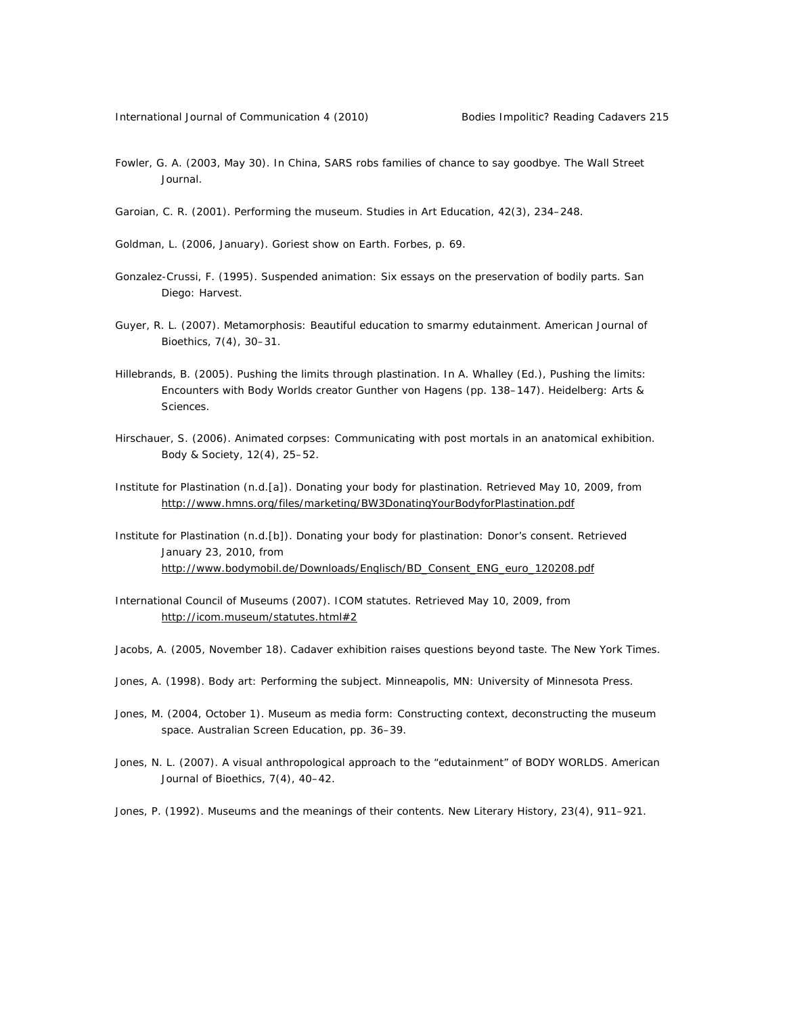- Fowler, G. A. (2003, May 30). In China, SARS robs families of chance to say goodbye. *The Wall Street Journal*.
- Garoian, C. R. (2001). Performing the museum. *Studies in Art Education, 42*(3), 234–248.
- Goldman, L. (2006, January). Goriest show on Earth. *Forbes,* p. 69.
- Gonzalez-Crussi, F. (1995). *Suspended animation: Six essays on the preservation of bodily parts.* San Diego: Harvest.
- Guyer, R. L. (2007). Metamorphosis: Beautiful education to smarmy edutainment. *American Journal of Bioethics, 7*(4), 30–31.
- Hillebrands, B. (2005). Pushing the limits through plastination. In A. Whalley (Ed.), *Pushing the limits: Encounters with Body Worlds creator Gunther von Hagens* (pp. 138–147)*.* Heidelberg: Arts & Sciences.
- Hirschauer, S. (2006). Animated corpses: Communicating with post mortals in an anatomical exhibition. *Body & Society, 12*(4), 25–52.
- Institute for Plastination (n.d.[a]). Donating your body for plastination. Retrieved May 10, 2009, from http://www.hmns.org/files/marketing/BW3DonatingYourBodyforPlastination.pdf
- Institute for Plastination (n.d.[b]). Donating your body for plastination: Donor's consent. Retrieved January 23, 2010, from http://www.bodymobil.de/Downloads/Englisch/BD\_Consent\_ENG\_euro\_120208.pdf
- International Council of Museums (2007). ICOM statutes. Retrieved May 10, 2009, from http://icom.museum/statutes.html#2
- Jacobs, A. (2005, November 18). Cadaver exhibition raises questions beyond taste. *The New York Times*.
- Jones, A. (1998). *Body art: Performing the subject.* Minneapolis, MN: University of Minnesota Press.
- Jones, M. (2004, October 1). Museum as media form: Constructing context, deconstructing the museum space. *Australian Screen Education*, pp. 36–39.
- Jones, N. L. (2007). A visual anthropological approach to the "edutainment" of BODY WORLDS. *American Journal of Bioethics, 7*(4), 40–42.
- Jones, P. (1992). Museums and the meanings of their contents. *New Literary History, 23*(4), 911–921.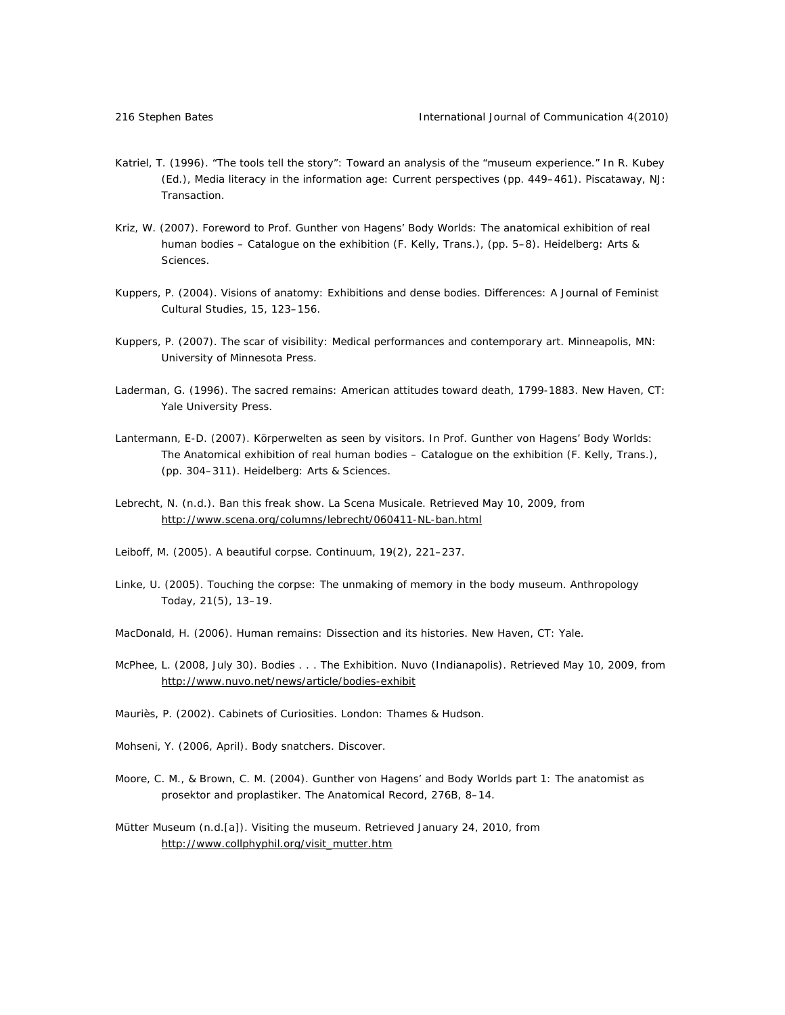- Katriel, T. (1996). "The tools tell the story": Toward an analysis of the "museum experience." In R. Kubey (Ed.), *Media literacy in the information age: Current perspectives* (pp. 449–461)*.* Piscataway, NJ: Transaction.
- Kriz, W. (2007). Foreword to *Prof. Gunther von Hagens' Body Worlds: The anatomical exhibition of real human bodies – Catalogue on the exhibition* (F. Kelly, Trans.), (pp. 5–8). Heidelberg: Arts & Sciences.
- Kuppers, P. (2004). Visions of anatomy: Exhibitions and dense bodies. *Differences: A Journal of Feminist Cultural Studies, 15*, 123–156.
- Kuppers, P. (2007). *The scar of visibility: Medical performances and contemporary art.* Minneapolis, MN: University of Minnesota Press.
- Laderman, G. (1996). *The sacred remains: American attitudes toward death, 1799-1883.* New Haven, CT: Yale University Press.
- Lantermann, E-D. (2007). Körperwelten as seen by visitors. In *Prof. Gunther von Hagens' Body Worlds: The Anatomical exhibition of real human bodies – Catalogue on the exhibition* (F. Kelly, Trans.), (pp. 304–311). Heidelberg: Arts & Sciences.
- Lebrecht, N. (n.d.). Ban this freak show. *La Scena Musicale.* Retrieved May 10, 2009, from http://www.scena.org/columns/lebrecht/060411-NL-ban.html
- Leiboff, M. (2005). A beautiful corpse. *Continuum, 19(*2), 221–237.
- Linke, U. (2005). Touching the corpse: The unmaking of memory in the body museum. *Anthropology Today, 21*(5), 13–19.
- MacDonald, H. (2006). *Human remains: Dissection and its histories.* New Haven, CT: Yale.
- McPhee, L. (2008, July 30). Bodies . . . The Exhibition. *Nuvo* (Indianapolis). Retrieved May 10, 2009, from http://www.nuvo.net/news/article/bodies-exhibit
- Mauriès, P. (2002). *Cabinets of Curiosities.* London: Thames & Hudson.
- Mohseni, Y. (2006, April). Body snatchers. *Discover*.
- Moore, C. M., & Brown, C. M. (2004). Gunther von Hagens' and *Body Worlds* part 1: The anatomist as prosektor and proplastiker. *The Anatomical Record, 276B*, 8–14.
- Mütter Museum (n.d.[a]). Visiting the museum. Retrieved January 24, 2010, from http://www.collphyphil.org/visit\_mutter.htm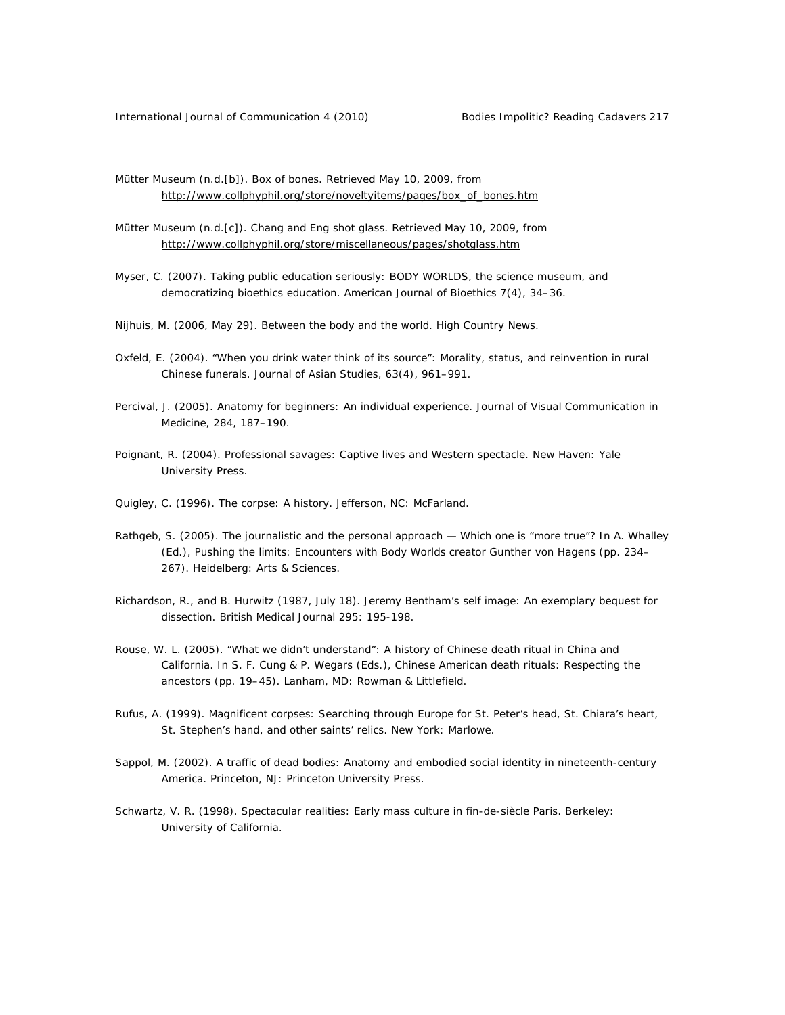- Mütter Museum (n.d.[b]). Box of bones. Retrieved May 10, 2009, from http://www.collphyphil.org/store/noveltyitems/pages/box\_of\_bones.htm
- Mütter Museum (n.d.[c]). Chang and Eng shot glass. Retrieved May 10, 2009, from http://www.collphyphil.org/store/miscellaneous/pages/shotglass.htm
- Myser, C. (2007). Taking public education seriously: BODY WORLDS, the science museum, and democratizing bioethics education. *American Journal of Bioethics 7*(4), 34–36.
- Nijhuis, M. (2006, May 29). Between the body and the world. *High Country News.*
- Oxfeld, E. (2004). "When you drink water think of its source": Morality, status, and reinvention in rural Chinese funerals. *Journal of Asian Studies, 63*(4), 961–991.
- Percival, J. (2005). Anatomy for beginners: An individual experience. *Journal of Visual Communication in Medicine, 284*, 187–190.
- Poignant, R. (2004). *Professional savages: Captive lives and Western spectacle.* New Haven: Yale University Press.
- Quigley, C. (1996). *The corpse: A history.* Jefferson, NC: McFarland.
- Rathgeb, S. (2005). The journalistic and the personal approach Which one is "more true"? In A. Whalley (Ed.), *Pushing the limits: Encounters with Body Worlds creator Gunther von Hagens* (pp. 234– 267)*.* Heidelberg: Arts & Sciences.
- Richardson, R., and B. Hurwitz (1987, July 18). Jeremy Bentham's self image: An exemplary bequest for dissection. *British Medical Journal* 295: 195-198.
- Rouse, W. L. (2005). "What we didn't understand": A history of Chinese death ritual in China and California. In S. F. Cung & P. Wegars (Eds.), *Chinese American death rituals: Respecting the ancestors* (pp. 19–45). Lanham, MD: Rowman & Littlefield.
- Rufus, A. (1999). *Magnificent corpses: Searching through Europe for St. Peter's head, St. Chiara's heart, St. Stephen's hand, and other saints' relics.* New York: Marlowe.
- Sappol, M. (2002). *A traffic of dead bodies: Anatomy and embodied social identity in nineteenth-century America.* Princeton, NJ: Princeton University Press.
- Schwartz, V. R. (1998). *Spectacular realities: Early mass culture in* fin-de-siècle *Paris.* Berkeley: University of California.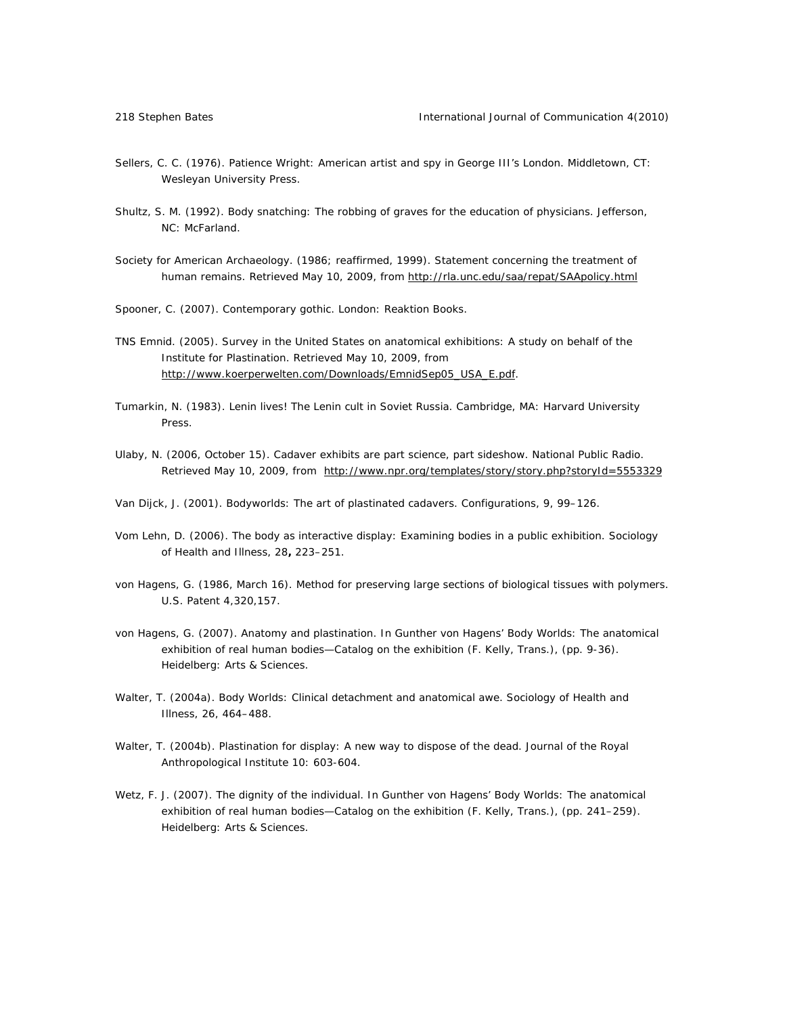- Sellers, C. C. (1976). *Patience Wright: American artist and spy in George III's London*. Middletown, CT: Wesleyan University Press.
- Shultz, S. M. (1992). *Body snatching: The robbing of graves for the education of physicians.* Jefferson, NC: McFarland.
- Society for American Archaeology. (1986; reaffirmed, 1999). Statement concerning the treatment of human remains. Retrieved May 10, 2009, from http://rla.unc.edu/saa/repat/SAApolicy.html
- Spooner, C. (2007). *Contemporary gothic.* London: Reaktion Books.
- TNS Emnid. (2005). Survey in the United States on anatomical exhibitions: A study on behalf of the Institute for Plastination. Retrieved May 10, 2009, from http://www.koerperwelten.com/Downloads/EmnidSep05\_USA\_E.pdf.
- Tumarkin, N. (1983). *Lenin lives! The Lenin cult in Soviet Russia.* Cambridge, MA: Harvard University Press.
- Ulaby, N. (2006, October 15). Cadaver exhibits are part science, part sideshow. *National Public Radio*. Retrieved May 10, 2009, from http://www.npr.org/templates/story/story.php?storyId=5553329
- Van Dijck, J. (2001). Bodyworlds: The art of plastinated cadavers. *Configurations, 9*, 99–126.
- Vom Lehn, D. (2006). The body as interactive display: Examining bodies in a public exhibition. *Sociology of Health and Illness, 28***,** 223–251.
- von Hagens, G. (1986, March 16). Method for preserving large sections of biological tissues with polymers. U.S. Patent 4,320,157.
- von Hagens, G. (2007). Anatomy and plastination. In *Gunther von Hagens' Body Worlds: The anatomical exhibition of real human bodies—Catalog on the exhibition* (F. Kelly, Trans.), (pp. 9-36). Heidelberg: Arts & Sciences.
- Walter, T. (2004a). Body Worlds: Clinical detachment and anatomical awe. *Sociology of Health and Illness, 26*, 464–488.
- Walter, T. (2004b). Plastination for display: A new way to dispose of the dead. *Journal of the Royal Anthropological Institute* 10: 603-604.
- Wetz, F. J. (2007). The dignity of the individual. In *Gunther von Hagens' Body Worlds: The anatomical exhibition of real human bodies—Catalog on the exhibition* (F. Kelly, Trans.), (pp. 241–259)*.*  Heidelberg: Arts & Sciences.